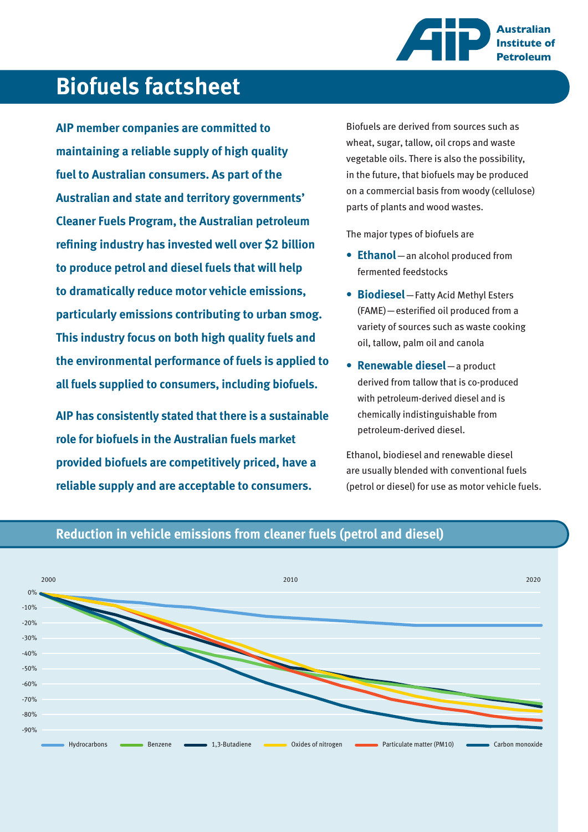

# **Biofuels factsheet**

**AIP member companies are committed to maintaining a reliable supply of high quality fuel to Australian consumers. As part of the Australian and state and territory governments' Cleaner Fuels Program, the Australian petroleum refining industry has invested well over \$2 billion to produce petrol and diesel fuels that will help to dramatically reduce motor vehicle emissions, particularly emissions contributing to urban smog. This industry focus on both high quality fuels and the environmental performance of fuels is applied to all fuels supplied to consumers, including biofuels.**

**AIP has consistently stated that there is a sustainable role for biofuels in the Australian fuels market provided biofuels are competitively priced, have a reliable supply and are acceptable to consumers.**

Biofuels are derived from sources such as wheat, sugar, tallow, oil crops and waste vegetable oils. There is also the possibility, in the future, that biofuels may be produced on a commercial basis from woody (cellulose) parts of plants and wood wastes.

The major types of biofuels are

- **Ethanol**—an alcohol produced from **•** fermented feedstocks
- **Biodiesel**—Fatty Acid Methyl Esters **•** (FAME)—esterified oil produced from a variety of sources such as waste cooking oil, tallow, palm oil and canola
- **Renewable diesel**—a product **•** derived from tallow that is co-produced with petroleum-derived diesel and is chemically indistinguishable from petroleum-derived diesel.

Ethanol, biodiesel and renewable diesel are usually blended with conventional fuels (petrol or diesel) for use as motor vehicle fuels.



### **Reduction in vehicle emissions from cleaner fuels (petrol and diesel)**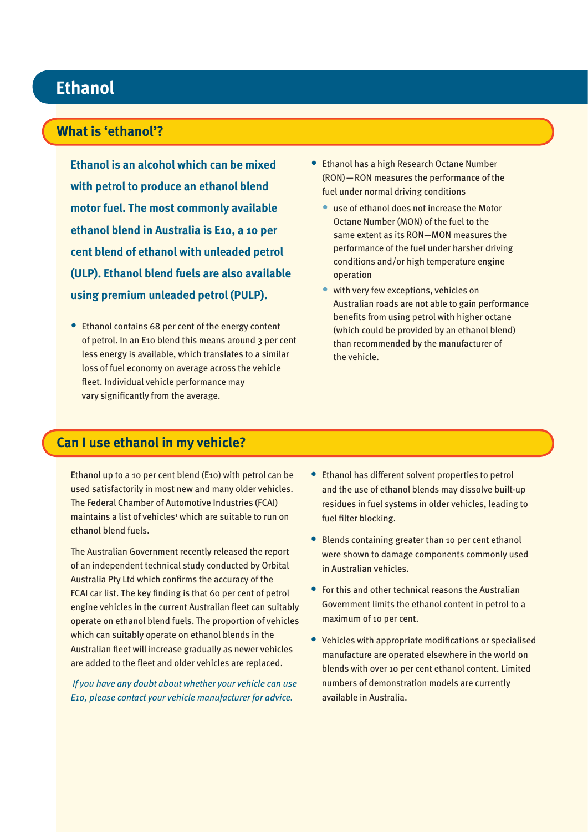#### . **Ethanol**

### **What is 'ethanol'?**

**Ethanol is an alcohol which can be mixed with petrol to produce an ethanol blend motor fuel. The most commonly available ethanol blend in Australia is E10, a 10 per cent blend of ethanol with unleaded petrol (ULP). Ethanol blend fuels are also available using premium unleaded petrol (PULP).**

• Ethanol contains 68 per cent of the energy content of petrol. In an E10 blend this means around 3 per cent less energy is available, which translates to a similar loss of fuel economy on average across the vehicle fleet. Individual vehicle performance may vary significantly from the average.

- **Ethanol has a high Research Octane Number** (RON)—RON measures the performance of the fuel under normal driving conditions
	- use of ethanol does not increase the Motor Octane Number (MON) of the fuel to the same extent as its RON—MON measures the performance of the fuel under harsher driving conditions and/or high temperature engine operation
	- with very few exceptions, vehicles on Australian roads are not able to gain performance benefits from using petrol with higher octane (which could be provided by an ethanol blend) than recommended by the manufacturer of the vehicle. •

### **Can I use ethanol in my vehicle?**

Ethanol up to a 10 per cent blend (E10) with petrol can be used satisfactorily in most new and many older vehicles. The Federal Chamber of Automotive Industries (FCAI) maintains a list of vehicles<sup>1</sup> which are suitable to run on ethanol blend fuels.

The Australian Government recently released the report of an independent technical study conducted by Orbital Australia Pty Ltd which confirms the accuracy of the FCAI car list. The key finding is that 60 per cent of petrol engine vehicles in the current Australian fleet can suitably operate on ethanol blend fuels. The proportion of vehicles which can suitably operate on ethanol blends in the Australian fleet will increase gradually as newer vehicles are added to the fleet and older vehicles are replaced.

 *If you have any doubt about whether your vehicle can use E10, please contact your vehicle manufacturer for advice.*

- Ethanol has different solvent properties to petrol and the use of ethanol blends may dissolve built-up residues in fuel systems in older vehicles, leading to fuel filter blocking.
- Blends containing greater than 10 per cent ethanol were shown to damage components commonly used in Australian vehicles.
- For this and other technical reasons the Australian Government limits the ethanol content in petrol to a maximum of 10 per cent. •
- Vehicles with appropriate modifications or specialised manufacture are operated elsewhere in the world on blends with over 10 per cent ethanol content. Limited numbers of demonstration models are currently available in Australia.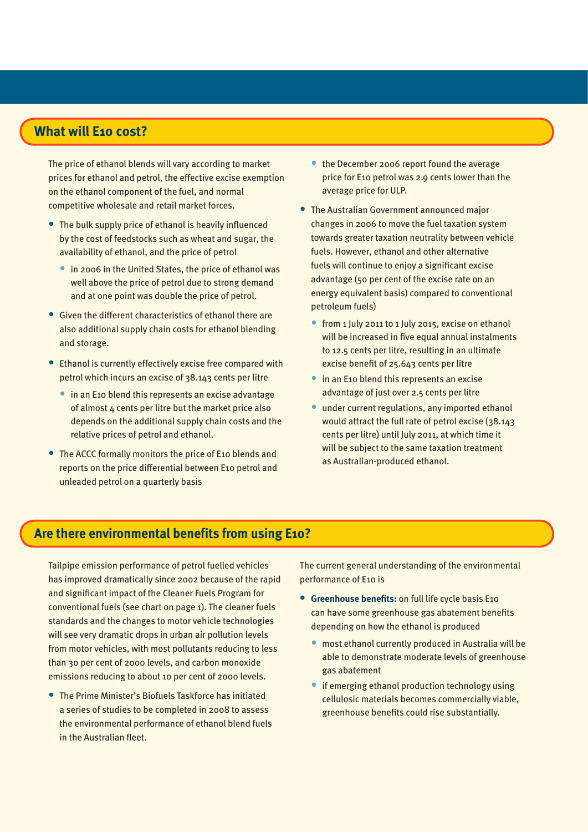### **What will E10 cost?**

The price of ethanol blends will vary according to market prices for ethanol and petrol, the effective excise exemption on the ethanol component of the fuel, and normal competitive wholesale and retail market forces.

- The bulk supply price of ethanol is heavily influenced by the cost of feedstocks such as wheat and sugar, the availability of ethanol, and the price of petrol
	- **in 2006 in the United States, the price of ethanol was** well above the price of petrol due to strong demand and at one point was double the price of petrol.
- Given the different characteristics of ethanol there are also additional supply chain costs for ethanol blending and storage.
- Ethanol is currently effectively excise free compared with petrol which incurs an excise of 38.143 cents per litre
	- in an E10 blend this represents an excise advantage of almost  $4$  cents per litre but the market price also depends on the additional supply chain costs and the relative prices of petrol and ethanol.
- The ACCC formally monitors the price of E10 blends and reports on the price differential between E10 petrol and unleaded petrol on a quarterly basis
- the December 2006 report found the average price for E10 petrol was 2.9 cents lower than the average price for ULP.
- The Australian Government announced major changes in 2006 to move the fuel taxation system towards greater taxation neutrality between vehicle fuels. However, ethanol and other alternative fuels will continue to enjoy a significant excise advantage (50 per cent of the excise rate on an energy equivalent basis) compared to conventional petroleum fuels)
	- from 1 July 2011 to 1 July 2015, excise on ethanol will be increased in five equal annual instalments to 12.5 cents per litre, resulting in an ultimate excise benefit of 25.643 cents per litre
	- in an E10 blend this represents an excise advantage of just over 2.5 cents per litre
	- under current regulations, any imported ethanol would attract the full rate of petrol excise (38.143 cents per litre) until July 2011, at which time it will be subject to the same taxation treatment as Australian-produced ethanol.

### **Are there environmental benefits from using E10?**

Tailpipe emission performance of petrol fuelled vehicles has improved dramatically since 2002 because of the rapid and significant impact of the Cleaner Fuels Program for conventional fuels (see chart on page 1). The cleaner fuels standards and the changes to motor vehicle technologies will see very dramatic drops in urban air pollution levels from motor vehicles, with most pollutants reducing to less than 30 per cent of 2000 levels, and carbon monoxide emissions reducing to about 10 per cent of 2000 levels.

The Prime Minister's Biofuels Taskforce has initiated • a series of studies to be completed in 2008 to assess the environmental performance of ethanol blend fuels in the Australian fleet.

The current general understanding of the environmental performance of E10 is

- **•** Greenhouse benefits: on full life cycle basis E10 can have some greenhouse gas abatement benefits depending on how the ethanol is produced
	- most ethanol currently produced in Australia will be able to demonstrate moderate levels of greenhouse gas abatement •
	- if emerging ethanol production technology using cellulosic materials becomes commercially viable, greenhouse benefits could rise substantially.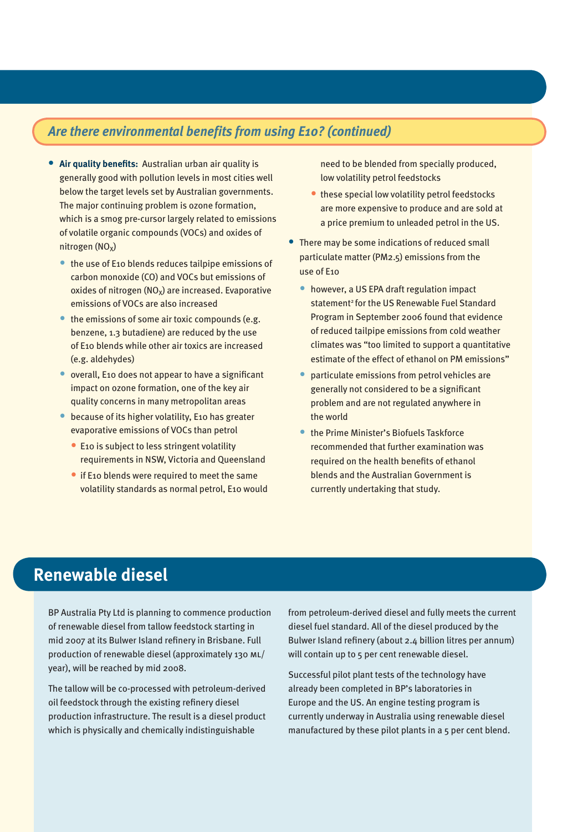### *Are there environmental benefits from using E10? (continued)*

- **Air quality benefits:** Australian urban air quality is **•** generally good with pollution levels in most cities well below the target levels set by Australian governments. The major continuing problem is ozone formation, which is a smog pre-cursor largely related to emissions of volatile organic compounds (VOCs) and oxides of nitrogen  $(NO<sub>x</sub>)$ 
	- the use of E10 blends reduces tailpipe emissions of carbon monoxide (CO) and VOCs but emissions of oxides of nitrogen  $(NO_x)$  are increased. Evaporative emissions of VOCs are also increased
	- the emissions of some air toxic compounds (e.g. benzene, 1.3 butadiene) are reduced by the use of E10 blends while other air toxics are increased (e.g. aldehydes)
	- overall, E10 does not appear to have a significant impact on ozone formation, one of the key air quality concerns in many metropolitan areas
	- **•** because of its higher volatility, E10 has greater evaporative emissions of VOCs than petrol
		- E10 is subject to less stringent volatility requirements in NSW, Victoria and Queensland
		- if E10 blends were required to meet the same volatility standards as normal petrol, E10 would

need to be blended from specially produced, low volatility petrol feedstocks

- **these special low volatility petrol feedstocks** are more expensive to produce and are sold at a price premium to unleaded petrol in the US.
- There may be some indications of reduced small particulate matter (PM2.5) emissions from the use of E10
	- however, a US EPA draft regulation impact statement<sup>2</sup> for the US Renewable Fuel Standard Program in September 2006 found that evidence of reduced tailpipe emissions from cold weather climates was "too limited to support a quantitative estimate of the effect of ethanol on PM emissions"
	- particulate emissions from petrol vehicles are generally not considered to be a significant problem and are not regulated anywhere in the world •
	- the Prime Minister's Biofuels Taskforce recommended that further examination was required on the health benefits of ethanol blends and the Australian Government is currently undertaking that study.

## **Renewable diesel**

BP Australia Pty Ltd is planning to commence production of renewable diesel from tallow feedstock starting in mid 2007 at its Bulwer Island refinery in Brisbane. Full production of renewable diesel (approximately 130 ml/ year), will be reached by mid 2008.

The tallow will be co-processed with petroleum-derived oil feedstock through the existing refinery diesel production infrastructure. The result is a diesel product which is physically and chemically indistinguishable

from petroleum-derived diesel and fully meets the current diesel fuel standard. All of the diesel produced by the Bulwer Island refinery (about 2.4 billion litres per annum) will contain up to 5 per cent renewable diesel.

Successful pilot plant tests of the technology have already been completed in BP's laboratories in Europe and the US. An engine testing program is currently underway in Australia using renewable diesel manufactured by these pilot plants in a 5 per cent blend.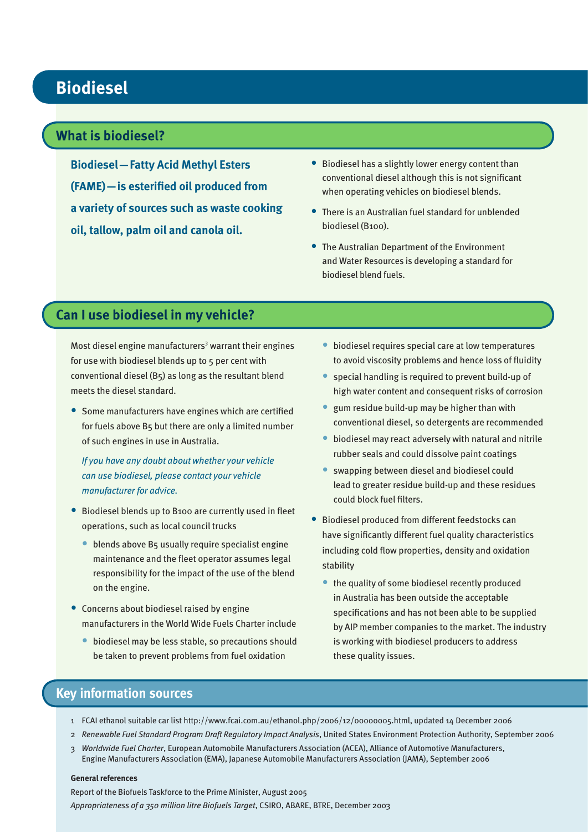### **Biodiesel**

### **What is biodiesel?**

**Biodiesel—Fatty Acid Methyl Esters (FAME)—is esterified oil produced from a variety of sources such as waste cooking oil, tallow, palm oil and canola oil.**

- Biodiesel has a slightly lower energy content than conventional diesel although this is not significant when operating vehicles on biodiesel blends.
- There is an Australian fuel standard for unblended biodiesel (B100).
- The Australian Department of the Environment and Water Resources is developing a standard for biodiesel blend fuels.

### **Can I use biodiesel in my vehicle?**

Most diesel engine manufacturers<sup>3</sup> warrant their engines for use with biodiesel blends up to 5 per cent with conventional diesel (B5) as long as the resultant blend meets the diesel standard.

• Some manufacturers have engines which are certified for fuels above B5 but there are only a limited number of such engines in use in Australia.

*If you have any doubt about whether your vehicle can use biodiesel, please contact your vehicle manufacturer for advice.*

- Biodiesel blends up to B100 are currently used in fleet operations, such as local council trucks
	- blends above B5 usually require specialist engine maintenance and the fleet operator assumes legal responsibility for the impact of the use of the blend on the engine.
- Concerns about biodiesel raised by engine manufacturers in the World Wide Fuels Charter include
	- biodiesel may be less stable, so precautions should be taken to prevent problems from fuel oxidation
- biodiesel requires special care at low temperatures to avoid viscosity problems and hence loss of fluidity
- special handling is required to prevent build-up of high water content and consequent risks of corrosion •
- gum residue build-up may be higher than with conventional diesel, so detergents are recommended
- biodiesel may react adversely with natural and nitrile rubber seals and could dissolve paint coatings •
- swapping between diesel and biodiesel could lead to greater residue build-up and these residues could block fuel filters.
- Biodiesel produced from different feedstocks can have significantly different fuel quality characteristics including cold flow properties, density and oxidation stability •
	- the quality of some biodiesel recently produced in Australia has been outside the acceptable specifications and has not been able to be supplied by AIP member companies to the market. The industry is working with biodiesel producers to address these quality issues.

### **Key information sources**

- 1 FCAI ethanol suitable car list http://www.fcai.com.au/ethanol.php/2006/12/00000005.html, updated 14 December 2006
- 2 *Renewable Fuel Standard Program Draft Regulatory Impact Analysis*, United States Environment Protection Authority, September 2006
- 3 *Worldwide Fuel Charter*, European Automobile Manufacturers Association (ACEA), Alliance of Automotive Manufacturers, Engine Manufacturers Association (EMA), Japanese Automobile Manufacturers Association (JAMA), September 2006

#### **General references**

Report of the Biofuels Taskforce to the Prime Minister, August 2005 *Appropriateness of a 350 million litre Biofuels Target*, CSIRO, ABARE, BTRE, December 2003